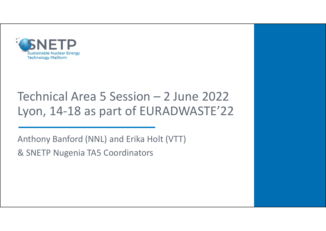

# SUNETP<br>
Sustainable Nudear Energy<br>
Technical Area 5 Session – 2 June 2022<br>Lyon, 14-18 as part of EURADWASTE'22 Lyon, 14-18 as part of EURADWASTE'22 Technical Area 5 Session - 2 June 20<br>Lyon, 14-18 as part of EURADWASTE<br>Anthony Banford (NNL) and Erika Holt (VTT)<br>& SNETP Nugenia TA5 Coordinators

Anthony Banford (NNL) and Erika Holt (VTT)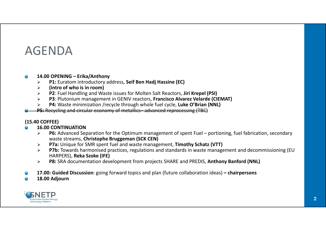## AGENDA

### $\bigcirc$

- 
- $\triangleright$  (intro of who is in room)
- **14.00 OPENING Erika/Anthony<br>
21.00 OPENING Erika/Anthony<br>
21. Euratom introductory address, Seif Ben Hadj Hassine (EC)<br>
21. Fluel Handling and Waste issues for Molten Salt Reactors, Jiri Krep<br>
21. Plutonium management**  $\triangleright$  P2: Fuel Handling and Waste issues for Molten Salt Reactors, Jiri Krepel (PSI)
- $\overline{P}$   $\overline{E}$   $\overline{N}$   $\overline{DA}$ <br>  $\overline{P}$   $\overline{P}$   $\overline{P}$   $\overline{P}$   $\overline{P}$   $\overline{P}$   $\overline{P}$   $\overline{P}$   $\overline{P}$   $\overline{P}$   $\overline{P}$   $\overline{P}$   $\overline{P}$   $\overline{P}$   $\overline{P}$   $\overline{P}$   $\overline{P}$   $\overline{P}$   $\overline{P}$   $\overline{P}$   $\overline$ P3: Plutonium management in GENIV reactors, Francisco Alvarez Velarde (CIEMAT)
- > P4: Waste minimization /recycle through whole fuel cycle, Luke O'Brian (NNL)<br>P5: Recycling and circular economy of metallics-advanced reprocessing (TBC)
- 

### (15.40 COFFEE)

### 16.00 CONTINUATION

- PENDA<br>
PENDA<br>
P1: Euratom introductory address, Seif Ben Hadj Hassine (EC)<br>
P2: Euel Handling and Waste issues for Molten Salt Reactors, Jiri Krepel (PSI)<br>
P2: Fuel Handling and Waste issues for Molten Salt Reactors, Jir waste streams, Christophe Bruggeman (SCK CEN) **OPENING – Erika/Anthony**<br> **P1:** Euratom introductory address, **Seif Ben Hadj Hassine (EC)**<br> **(intro of who is in room)**<br> **(intro of who is in room)**<br> **P2:** Fuel Handling and Waste issues for Molten Salt Reactors, Jiri Kre
- ▶ P7a: Unique for SMR spent fuel and waste management, Timothy Schatz (VTT)
- **PG: Advanced Separation for the Optimum management of spent Fuel PRFOR:**<br>
24.00 OPENING Frika/Arthony<br>
22. Fuel Handinia and Waste issues for Molten Salt Reactors, Jiri Krepel (PSI)<br>
22. Fuel Handinia and Waste issues f  $\triangleright$  P7b: Towards harmonised practices, regulations and standards in waste management and decommissioning (EU 14.00 OPENTHING – EMRA/Anthony<br>
27.00 OPENTHING – EMRA/Anthony<br>
27. Fuel Handling and Waste issues for Molten Salt Reactors, Jiri Krepel (PSI)<br>
27. Fuel Handling and Waste issues for Molten Salt Reactors, Jiri Krepel (PSI)
- ▶ P8: SRA documentation development from projects SHARE and PREDIS, Anthony Banford (NNL)
- 
- 18.00 Adjourn

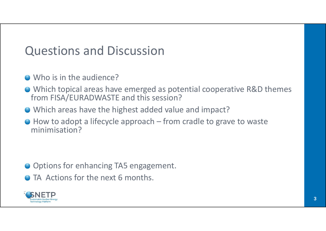# Questions and Discussion

- Who is in the audience?
- Which topical areas have emerged as potential cooperative R&D themes from FISA/EURADWASTE and this session? Uestions and Discussion<br>Who is in the audience?<br>Which topical areas have emerged as potential cooperative R&D themes<br>irom FISA/EURADWASTE and this session?<br>Which areas have the highest added value and impact?<br>How to adopt
- Which areas have the highest added value and impact?
- minimisation?

- O Options for enhancing TA5 engagement.
- **O** TA Actions for the next 6 months.